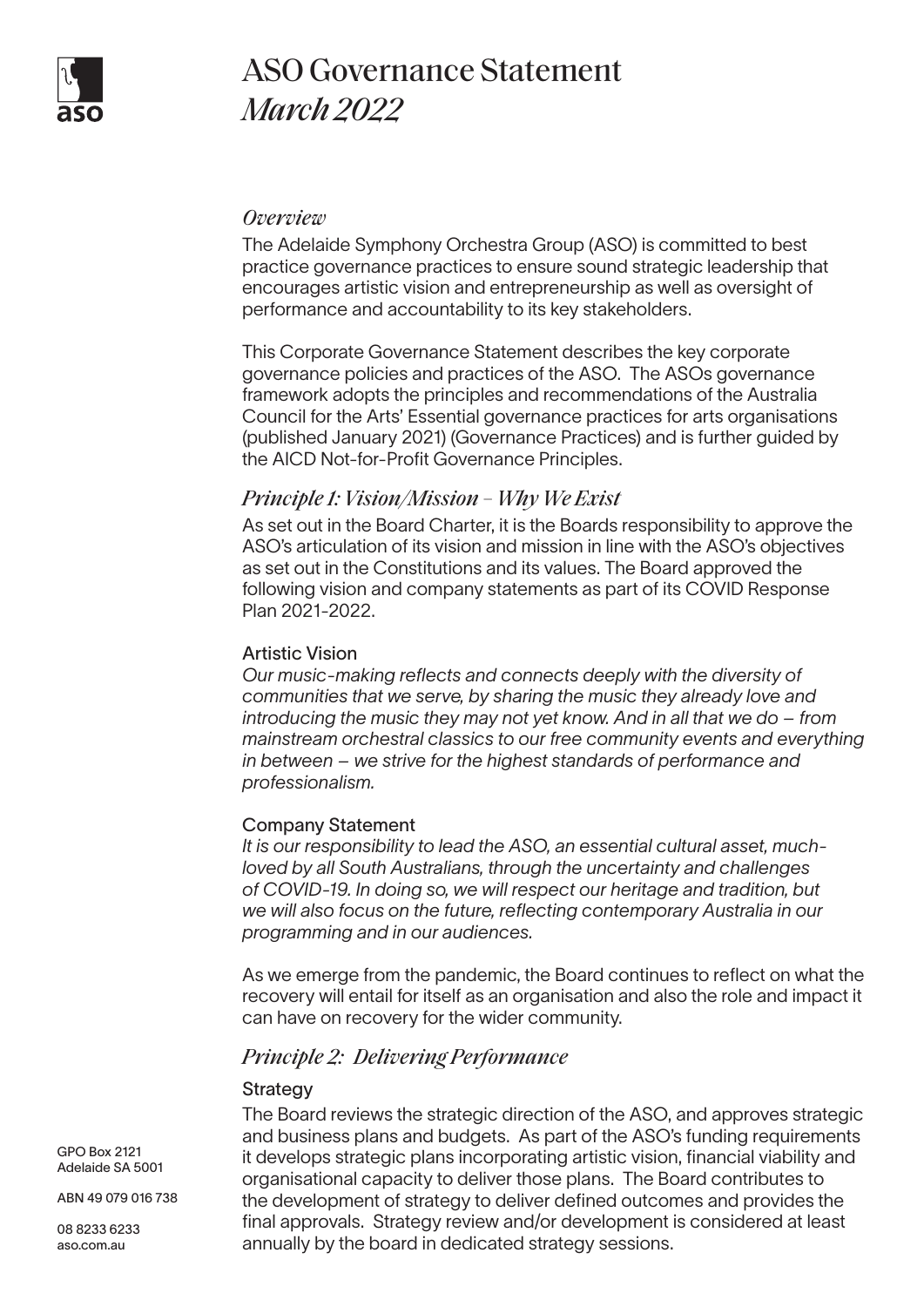

# ASO Governance Statement *March 2022*

## *Overview*

The Adelaide Symphony Orchestra Group (ASO) is committed to best practice governance practices to ensure sound strategic leadership that encourages artistic vision and entrepreneurship as well as oversight of performance and accountability to its key stakeholders.

This Corporate Governance Statement describes the key corporate governance policies and practices of the ASO. The ASOs governance framework adopts the principles and recommendations of the Australia Council for the Arts' Essential governance practices for arts organisations (published January 2021) (Governance Practices) and is further guided by the AICD Not-for-Profit Governance Principles.

# *Principle 1: Vision/Mission – Why We Exist*

As set out in the Board Charter, it is the Boards responsibility to approve the ASO's articulation of its vision and mission in line with the ASO's objectives as set out in the Constitutions and its values. The Board approved the following vision and company statements as part of its COVID Response Plan 2021-2022.

#### Artistic Vision

*Our music-making reflects and connects deeply with the diversity of communities that we serve, by sharing the music they already love and introducing the music they may not yet know. And in all that we do – from mainstream orchestral classics to our free community events and everything in between – we strive for the highest standards of performance and professionalism.* 

#### Company Statement

*It is our responsibility to lead the ASO, an essential cultural asset, muchloved by all South Australians, through the uncertainty and challenges of COVID-19. In doing so, we will respect our heritage and tradition, but we will also focus on the future, reflecting contemporary Australia in our programming and in our audiences.* 

As we emerge from the pandemic, the Board continues to reflect on what the recovery will entail for itself as an organisation and also the role and impact it can have on recovery for the wider community.

# *Principle 2: Delivering Performance*

#### **Strategy**

The Board reviews the strategic direction of the ASO, and approves strategic and business plans and budgets. As part of the ASO's funding requirements it develops strategic plans incorporating artistic vision, financial viability and organisational capacity to deliver those plans. The Board contributes to the development of strategy to deliver defined outcomes and provides the final approvals. Strategy review and/or development is considered at least annually by the board in dedicated strategy sessions.

GPO Box 2121 Adelaide SA 5001

ABN 49 079 016 738

08 8233 6233 aso.com.au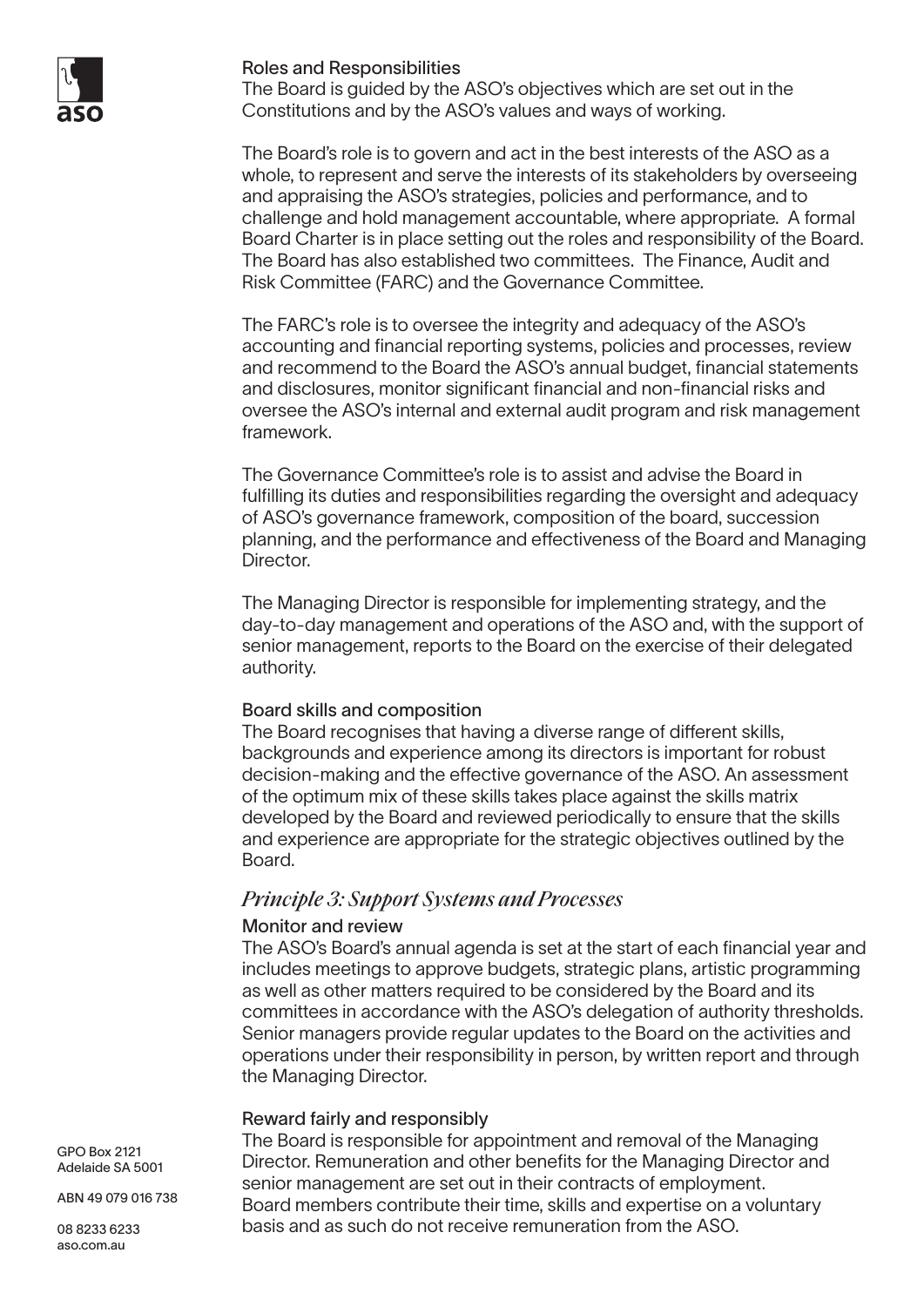

#### Roles and Responsibilities

The Board is guided by the ASO's objectives which are set out in the Constitutions and by the ASO's values and ways of working.

The Board's role is to govern and act in the best interests of the ASO as a whole, to represent and serve the interests of its stakeholders by overseeing and appraising the ASO's strategies, policies and performance, and to challenge and hold management accountable, where appropriate. A formal Board Charter is in place setting out the roles and responsibility of the Board. The Board has also established two committees. The Finance, Audit and Risk Committee (FARC) and the Governance Committee.

The FARC's role is to oversee the integrity and adequacy of the ASO's accounting and financial reporting systems, policies and processes, review and recommend to the Board the ASO's annual budget, financial statements and disclosures, monitor significant financial and non-financial risks and oversee the ASO's internal and external audit program and risk management framework.

The Governance Committee's role is to assist and advise the Board in fulfilling its duties and responsibilities regarding the oversight and adequacy of ASO's governance framework, composition of the board, succession planning, and the performance and effectiveness of the Board and Managing Director.

The Managing Director is responsible for implementing strategy, and the day-to-day management and operations of the ASO and, with the support of senior management, reports to the Board on the exercise of their delegated authority.

#### Board skills and composition

The Board recognises that having a diverse range of different skills, backgrounds and experience among its directors is important for robust decision-making and the effective governance of the ASO. An assessment of the optimum mix of these skills takes place against the skills matrix developed by the Board and reviewed periodically to ensure that the skills and experience are appropriate for the strategic objectives outlined by the Board.

# *Principle 3: Support Systems and Processes*

## Monitor and review

The ASO's Board's annual agenda is set at the start of each financial year and includes meetings to approve budgets, strategic plans, artistic programming as well as other matters required to be considered by the Board and its committees in accordance with the ASO's delegation of authority thresholds. Senior managers provide regular updates to the Board on the activities and operations under their responsibility in person, by written report and through the Managing Director.

## Reward fairly and responsibly

The Board is responsible for appointment and removal of the Managing Director. Remuneration and other benefits for the Managing Director and senior management are set out in their contracts of employment. Board members contribute their time, skills and expertise on a voluntary basis and as such do not receive remuneration from the ASO.

GPO Box 2121 Adelaide SA 5001

ABN 49 079 016 738

08 8233 6233 aso.com.au